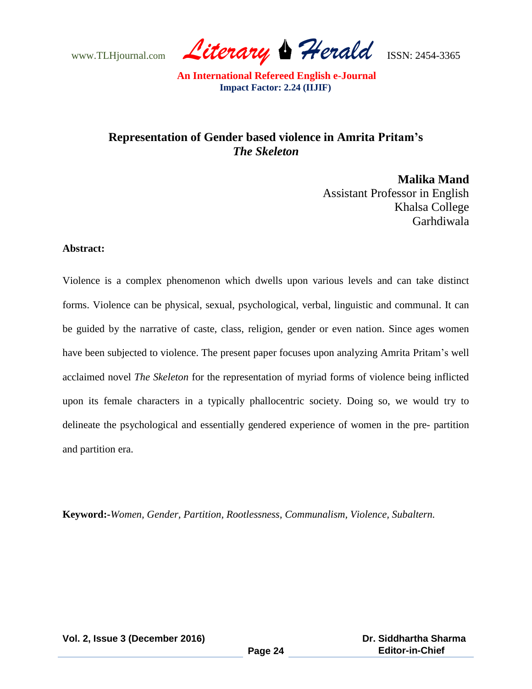www.TLHjournal.com *Literary Herald*ISSN: 2454-3365

## **Representation of Gender based violence in Amrita Pritam's**  *The Skeleton*

**Malika Mand** Assistant Professor in English Khalsa College Garhdiwala

## **Abstract:**

Violence is a complex phenomenon which dwells upon various levels and can take distinct forms. Violence can be physical, sexual, psychological, verbal, linguistic and communal. It can be guided by the narrative of caste, class, religion, gender or even nation. Since ages women have been subjected to violence. The present paper focuses upon analyzing Amrita Pritam's well acclaimed novel *The Skeleton* for the representation of myriad forms of violence being inflicted upon its female characters in a typically phallocentric society. Doing so, we would try to delineate the psychological and essentially gendered experience of women in the pre- partition and partition era.

**Keyword:-***Women, Gender, Partition, Rootlessness, Communalism, Violence, Subaltern.*

**Vol. 2, Issue 3 (December 2016)**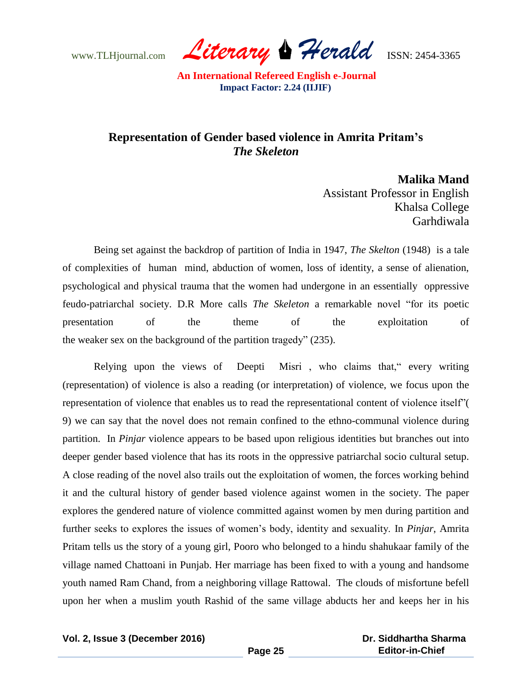www.TLHjournal.com *Literary Herald*ISSN: 2454-3365

## **Representation of Gender based violence in Amrita Pritam's**  *The Skeleton*

**Malika Mand** Assistant Professor in English Khalsa College Garhdiwala

Being set against the backdrop of partition of India in 1947, *The Skelton* (1948) is a tale of complexities of human mind, abduction of women, loss of identity, a sense of alienation, psychological and physical trauma that the women had undergone in an essentially oppressive feudo-patriarchal society. D.R More calls *The Skeleton* a remarkable novel "for its poetic presentation of the theme of the exploitation of the weaker sex on the background of the partition tragedy" (235).

Relying upon the views of Deepti Misri , who claims that," every writing (representation) of violence is also a reading (or interpretation) of violence, we focus upon the representation of violence that enables us to read the representational content of violence itself"( 9) we can say that the novel does not remain confined to the ethno-communal violence during partition. In *Pinjar* violence appears to be based upon religious identities but branches out into deeper gender based violence that has its roots in the oppressive patriarchal socio cultural setup. A close reading of the novel also trails out the exploitation of women, the forces working behind it and the cultural history of gender based violence against women in the society. The paper explores the gendered nature of violence committed against women by men during partition and further seeks to explores the issues of women"s body, identity and sexuality. In *Pinjar*, Amrita Pritam tells us the story of a young girl, Pooro who belonged to a hindu shahukaar family of the village named Chattoani in Punjab. Her marriage has been fixed to with a young and handsome youth named Ram Chand, from a neighboring village Rattowal. The clouds of misfortune befell upon her when a muslim youth Rashid of the same village abducts her and keeps her in his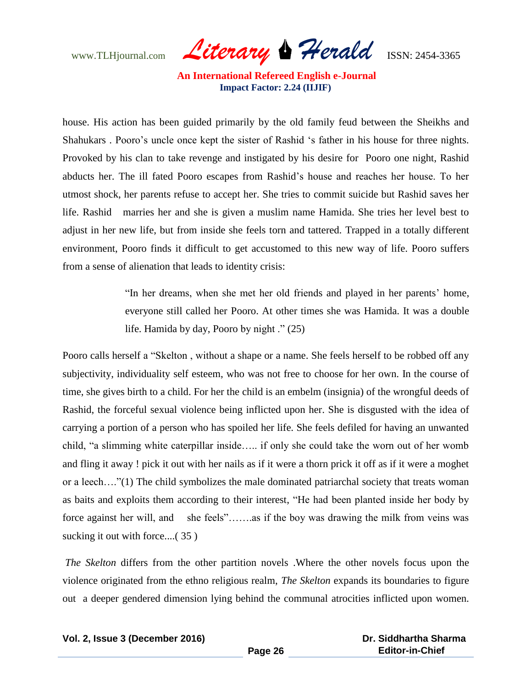www.TLHjournal.com *Literary Herald*ISSN: 2454-3365

house. His action has been guided primarily by the old family feud between the Sheikhs and Shahukars . Pooro"s uncle once kept the sister of Rashid "s father in his house for three nights. Provoked by his clan to take revenge and instigated by his desire for Pooro one night, Rashid abducts her. The ill fated Pooro escapes from Rashid"s house and reaches her house. To her utmost shock, her parents refuse to accept her. She tries to commit suicide but Rashid saves her life. Rashid marries her and she is given a muslim name Hamida. She tries her level best to adjust in her new life, but from inside she feels torn and tattered. Trapped in a totally different environment, Pooro finds it difficult to get accustomed to this new way of life. Pooro suffers from a sense of alienation that leads to identity crisis:

> "In her dreams, when she met her old friends and played in her parents" home, everyone still called her Pooro. At other times she was Hamida. It was a double life. Hamida by day, Pooro by night ." (25)

Pooro calls herself a "Skelton , without a shape or a name. She feels herself to be robbed off any subjectivity, individuality self esteem, who was not free to choose for her own. In the course of time, she gives birth to a child. For her the child is an embelm (insignia) of the wrongful deeds of Rashid, the forceful sexual violence being inflicted upon her. She is disgusted with the idea of carrying a portion of a person who has spoiled her life. She feels defiled for having an unwanted child, "a slimming white caterpillar inside….. if only she could take the worn out of her womb and fling it away ! pick it out with her nails as if it were a thorn prick it off as if it were a moghet or a leech…."(1) The child symbolizes the male dominated patriarchal society that treats woman as baits and exploits them according to their interest, "He had been planted inside her body by force against her will, and she feels"……..as if the boy was drawing the milk from veins was sucking it out with force....(35)

*The Skelton* differs from the other partition novels .Where the other novels focus upon the violence originated from the ethno religious realm, *The Skelton* expands its boundaries to figure out a deeper gendered dimension lying behind the communal atrocities inflicted upon women.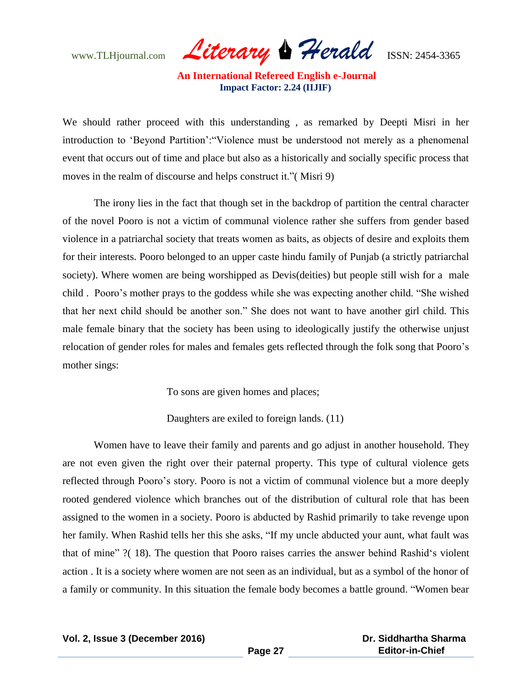www.TLHjournal.com *Literary Herald*ISSN: 2454-3365

We should rather proceed with this understanding , as remarked by Deepti Misri in her introduction to "Beyond Partition":"Violence must be understood not merely as a phenomenal event that occurs out of time and place but also as a historically and socially specific process that moves in the realm of discourse and helps construct it."( Misri 9)

The irony lies in the fact that though set in the backdrop of partition the central character of the novel Pooro is not a victim of communal violence rather she suffers from gender based violence in a patriarchal society that treats women as baits, as objects of desire and exploits them for their interests. Pooro belonged to an upper caste hindu family of Punjab (a strictly patriarchal society). Where women are being worshipped as Devis(deities) but people still wish for a male child . Pooro"s mother prays to the goddess while she was expecting another child. "She wished that her next child should be another son." She does not want to have another girl child. This male female binary that the society has been using to ideologically justify the otherwise unjust relocation of gender roles for males and females gets reflected through the folk song that Pooro"s mother sings:

To sons are given homes and places;

Daughters are exiled to foreign lands. (11)

Women have to leave their family and parents and go adjust in another household. They are not even given the right over their paternal property. This type of cultural violence gets reflected through Pooro"s story. Pooro is not a victim of communal violence but a more deeply rooted gendered violence which branches out of the distribution of cultural role that has been assigned to the women in a society. Pooro is abducted by Rashid primarily to take revenge upon her family. When Rashid tells her this she asks, "If my uncle abducted your aunt, what fault was that of mine" ?(18). The question that Pooro raises carries the answer behind Rashid's violent action . It is a society where women are not seen as an individual, but as a symbol of the honor of a family or community. In this situation the female body becomes a battle ground. "Women bear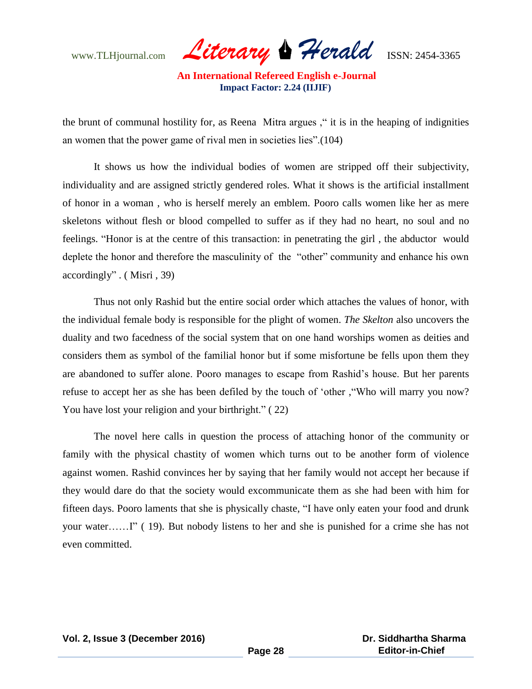www.TLHjournal.com *Literary Herald*ISSN: 2454-3365

the brunt of communal hostility for, as Reena Mitra argues ," it is in the heaping of indignities an women that the power game of rival men in societies lies".(104)

It shows us how the individual bodies of women are stripped off their subjectivity, individuality and are assigned strictly gendered roles. What it shows is the artificial installment of honor in a woman , who is herself merely an emblem. Pooro calls women like her as mere skeletons without flesh or blood compelled to suffer as if they had no heart, no soul and no feelings. "Honor is at the centre of this transaction: in penetrating the girl , the abductor would deplete the honor and therefore the masculinity of the "other" community and enhance his own accordingly" . ( Misri , 39)

Thus not only Rashid but the entire social order which attaches the values of honor, with the individual female body is responsible for the plight of women. *The Skelton* also uncovers the duality and two facedness of the social system that on one hand worships women as deities and considers them as symbol of the familial honor but if some misfortune be fells upon them they are abandoned to suffer alone. Pooro manages to escape from Rashid"s house. But her parents refuse to accept her as she has been defiled by the touch of "other ,"Who will marry you now? You have lost your religion and your birthright." (22)

The novel here calls in question the process of attaching honor of the community or family with the physical chastity of women which turns out to be another form of violence against women. Rashid convinces her by saying that her family would not accept her because if they would dare do that the society would excommunicate them as she had been with him for fifteen days. Pooro laments that she is physically chaste, "I have only eaten your food and drunk your water……I" ( 19). But nobody listens to her and she is punished for a crime she has not even committed.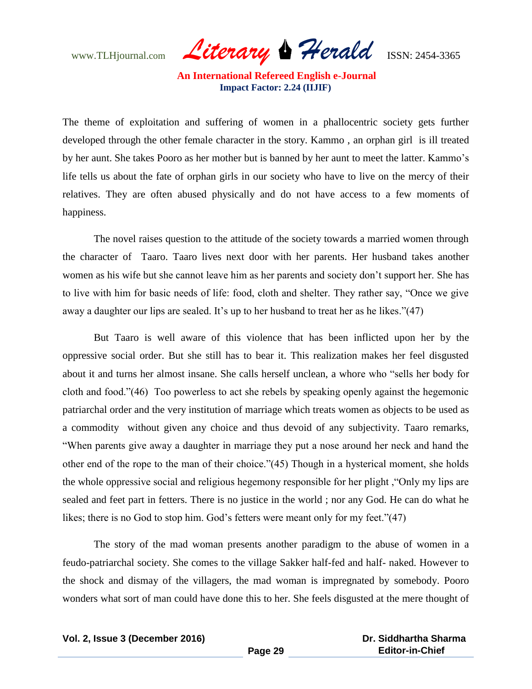www.TLHjournal.com *Literary Herald*ISSN: 2454-3365

The theme of exploitation and suffering of women in a phallocentric society gets further developed through the other female character in the story. Kammo , an orphan girl is ill treated by her aunt. She takes Pooro as her mother but is banned by her aunt to meet the latter. Kammo"s life tells us about the fate of orphan girls in our society who have to live on the mercy of their relatives. They are often abused physically and do not have access to a few moments of happiness.

The novel raises question to the attitude of the society towards a married women through the character of Taaro. Taaro lives next door with her parents. Her husband takes another women as his wife but she cannot leave him as her parents and society don"t support her. She has to live with him for basic needs of life: food, cloth and shelter. They rather say, "Once we give away a daughter our lips are sealed. It's up to her husband to treat her as he likes."(47)

But Taaro is well aware of this violence that has been inflicted upon her by the oppressive social order. But she still has to bear it. This realization makes her feel disgusted about it and turns her almost insane. She calls herself unclean, a whore who "sells her body for cloth and food."(46) Too powerless to act she rebels by speaking openly against the hegemonic patriarchal order and the very institution of marriage which treats women as objects to be used as a commodity without given any choice and thus devoid of any subjectivity. Taaro remarks, "When parents give away a daughter in marriage they put a nose around her neck and hand the other end of the rope to the man of their choice."(45) Though in a hysterical moment, she holds the whole oppressive social and religious hegemony responsible for her plight ,"Only my lips are sealed and feet part in fetters. There is no justice in the world ; nor any God. He can do what he likes; there is no God to stop him. God's fetters were meant only for my feet."(47)

The story of the mad woman presents another paradigm to the abuse of women in a feudo-patriarchal society. She comes to the village Sakker half-fed and half- naked. However to the shock and dismay of the villagers, the mad woman is impregnated by somebody. Pooro wonders what sort of man could have done this to her. She feels disgusted at the mere thought of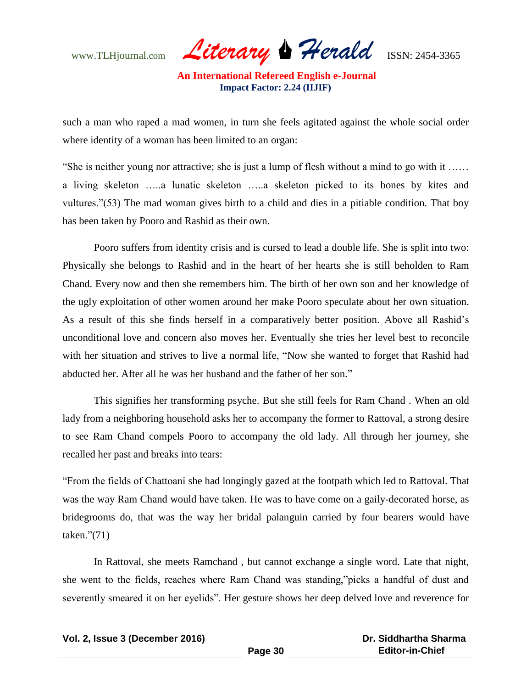www.TLHjournal.com *Literary Herald*ISSN: 2454-3365

such a man who raped a mad women, in turn she feels agitated against the whole social order where identity of a woman has been limited to an organ:

"She is neither young nor attractive; she is just a lump of flesh without a mind to go with it …… a living skeleton …..a lunatic skeleton …..a skeleton picked to its bones by kites and vultures."(53) The mad woman gives birth to a child and dies in a pitiable condition. That boy has been taken by Pooro and Rashid as their own.

Pooro suffers from identity crisis and is cursed to lead a double life. She is split into two: Physically she belongs to Rashid and in the heart of her hearts she is still beholden to Ram Chand. Every now and then she remembers him. The birth of her own son and her knowledge of the ugly exploitation of other women around her make Pooro speculate about her own situation. As a result of this she finds herself in a comparatively better position. Above all Rashid"s unconditional love and concern also moves her. Eventually she tries her level best to reconcile with her situation and strives to live a normal life, "Now she wanted to forget that Rashid had abducted her. After all he was her husband and the father of her son."

This signifies her transforming psyche. But she still feels for Ram Chand . When an old lady from a neighboring household asks her to accompany the former to Rattoval, a strong desire to see Ram Chand compels Pooro to accompany the old lady. All through her journey, she recalled her past and breaks into tears:

"From the fields of Chattoani she had longingly gazed at the footpath which led to Rattoval. That was the way Ram Chand would have taken. He was to have come on a gaily-decorated horse, as bridegrooms do, that was the way her bridal palanguin carried by four bearers would have taken."(71)

In Rattoval, she meets Ramchand , but cannot exchange a single word. Late that night, she went to the fields, reaches where Ram Chand was standing,"picks a handful of dust and severently smeared it on her eyelids". Her gesture shows her deep delved love and reverence for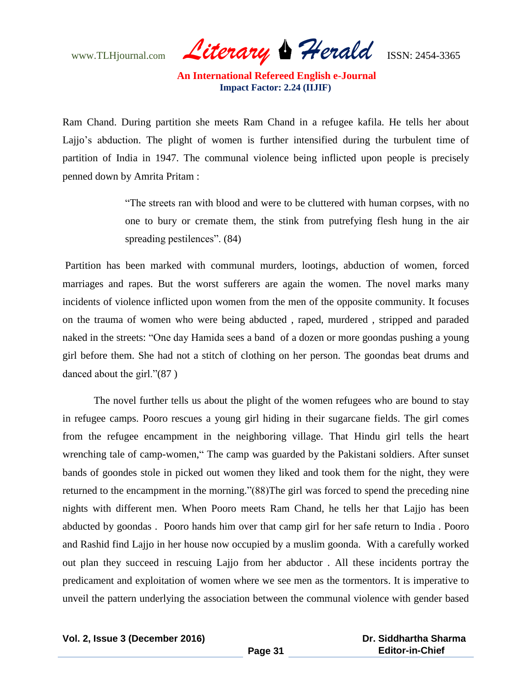www.TLHjournal.com *Literary Herald*ISSN: 2454-3365

Ram Chand. During partition she meets Ram Chand in a refugee kafila. He tells her about Lajjo's abduction. The plight of women is further intensified during the turbulent time of partition of India in 1947. The communal violence being inflicted upon people is precisely penned down by Amrita Pritam :

> "The streets ran with blood and were to be cluttered with human corpses, with no one to bury or cremate them, the stink from putrefying flesh hung in the air spreading pestilences". (84)

Partition has been marked with communal murders, lootings, abduction of women, forced marriages and rapes. But the worst sufferers are again the women. The novel marks many incidents of violence inflicted upon women from the men of the opposite community. It focuses on the trauma of women who were being abducted , raped, murdered , stripped and paraded naked in the streets: "One day Hamida sees a band of a dozen or more goondas pushing a young girl before them. She had not a stitch of clothing on her person. The goondas beat drums and danced about the girl."(87 )

The novel further tells us about the plight of the women refugees who are bound to stay in refugee camps. Pooro rescues a young girl hiding in their sugarcane fields. The girl comes from the refugee encampment in the neighboring village. That Hindu girl tells the heart wrenching tale of camp-women," The camp was guarded by the Pakistani soldiers. After sunset bands of goondes stole in picked out women they liked and took them for the night, they were returned to the encampment in the morning."(88)The girl was forced to spend the preceding nine nights with different men. When Pooro meets Ram Chand, he tells her that Lajjo has been abducted by goondas . Pooro hands him over that camp girl for her safe return to India . Pooro and Rashid find Lajjo in her house now occupied by a muslim goonda. With a carefully worked out plan they succeed in rescuing Lajjo from her abductor . All these incidents portray the predicament and exploitation of women where we see men as the tormentors. It is imperative to unveil the pattern underlying the association between the communal violence with gender based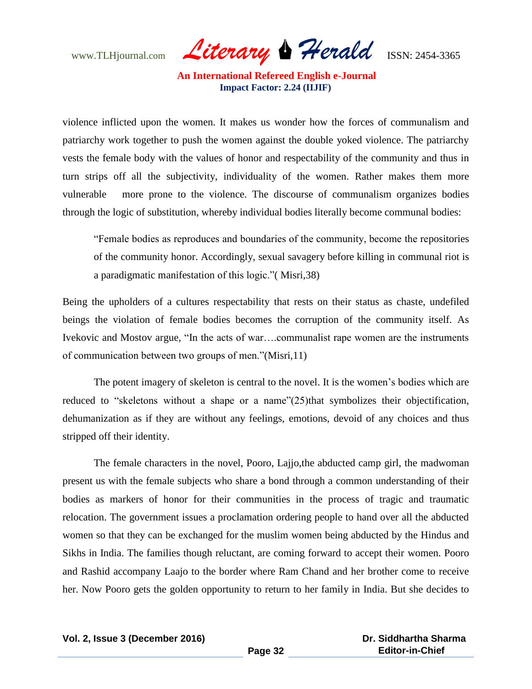www.TLHjournal.com *Literary Herald*ISSN: 2454-3365

violence inflicted upon the women. It makes us wonder how the forces of communalism and patriarchy work together to push the women against the double yoked violence. The patriarchy vests the female body with the values of honor and respectability of the community and thus in turn strips off all the subjectivity, individuality of the women. Rather makes them more vulnerable more prone to the violence. The discourse of communalism organizes bodies through the logic of substitution, whereby individual bodies literally become communal bodies:

"Female bodies as reproduces and boundaries of the community, become the repositories of the community honor. Accordingly, sexual savagery before killing in communal riot is a paradigmatic manifestation of this logic."( Misri,38)

Being the upholders of a cultures respectability that rests on their status as chaste, undefiled beings the violation of female bodies becomes the corruption of the community itself. As Ivekovic and Mostov argue, "In the acts of war….communalist rape women are the instruments of communication between two groups of men."(Misri,11)

The potent imagery of skeleton is central to the novel. It is the women"s bodies which are reduced to "skeletons without a shape or a name"(25)that symbolizes their objectification, dehumanization as if they are without any feelings, emotions, devoid of any choices and thus stripped off their identity.

The female characters in the novel, Pooro, Lajjo,the abducted camp girl, the madwoman present us with the female subjects who share a bond through a common understanding of their bodies as markers of honor for their communities in the process of tragic and traumatic relocation. The government issues a proclamation ordering people to hand over all the abducted women so that they can be exchanged for the muslim women being abducted by the Hindus and Sikhs in India. The families though reluctant, are coming forward to accept their women. Pooro and Rashid accompany Laajo to the border where Ram Chand and her brother come to receive her. Now Pooro gets the golden opportunity to return to her family in India. But she decides to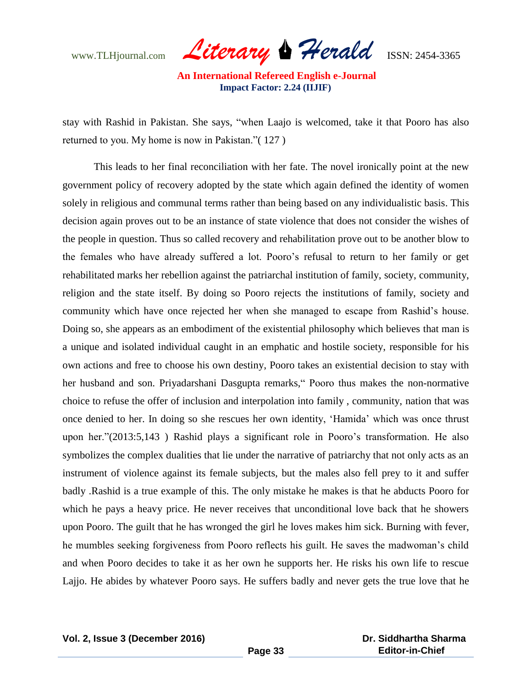www.TLHjournal.com *Literary Herald*ISSN: 2454-3365

stay with Rashid in Pakistan. She says, "when Laajo is welcomed, take it that Pooro has also returned to you. My home is now in Pakistan."( 127 )

This leads to her final reconciliation with her fate. The novel ironically point at the new government policy of recovery adopted by the state which again defined the identity of women solely in religious and communal terms rather than being based on any individualistic basis. This decision again proves out to be an instance of state violence that does not consider the wishes of the people in question. Thus so called recovery and rehabilitation prove out to be another blow to the females who have already suffered a lot. Pooro"s refusal to return to her family or get rehabilitated marks her rebellion against the patriarchal institution of family, society, community, religion and the state itself. By doing so Pooro rejects the institutions of family, society and community which have once rejected her when she managed to escape from Rashid"s house. Doing so, she appears as an embodiment of the existential philosophy which believes that man is a unique and isolated individual caught in an emphatic and hostile society, responsible for his own actions and free to choose his own destiny, Pooro takes an existential decision to stay with her husband and son. Priyadarshani Dasgupta remarks," Pooro thus makes the non-normative choice to refuse the offer of inclusion and interpolation into family , community, nation that was once denied to her. In doing so she rescues her own identity, "Hamida" which was once thrust upon her."(2013:5,143 ) Rashid plays a significant role in Pooro"s transformation. He also symbolizes the complex dualities that lie under the narrative of patriarchy that not only acts as an instrument of violence against its female subjects, but the males also fell prey to it and suffer badly .Rashid is a true example of this. The only mistake he makes is that he abducts Pooro for which he pays a heavy price. He never receives that unconditional love back that he showers upon Pooro. The guilt that he has wronged the girl he loves makes him sick. Burning with fever, he mumbles seeking forgiveness from Pooro reflects his guilt. He saves the madwoman"s child and when Pooro decides to take it as her own he supports her. He risks his own life to rescue Lajjo. He abides by whatever Pooro says. He suffers badly and never gets the true love that he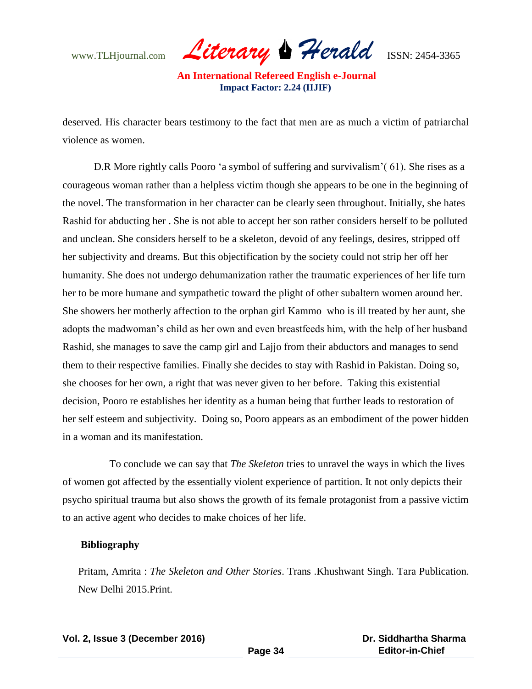www.TLHjournal.com *Literary Herald*ISSN: 2454-3365

deserved. His character bears testimony to the fact that men are as much a victim of patriarchal violence as women.

D.R More rightly calls Pooro 'a symbol of suffering and survivalism' (61). She rises as a courageous woman rather than a helpless victim though she appears to be one in the beginning of the novel. The transformation in her character can be clearly seen throughout. Initially, she hates Rashid for abducting her . She is not able to accept her son rather considers herself to be polluted and unclean. She considers herself to be a skeleton, devoid of any feelings, desires, stripped off her subjectivity and dreams. But this objectification by the society could not strip her off her humanity. She does not undergo dehumanization rather the traumatic experiences of her life turn her to be more humane and sympathetic toward the plight of other subaltern women around her. She showers her motherly affection to the orphan girl Kammo who is ill treated by her aunt, she adopts the madwoman"s child as her own and even breastfeeds him, with the help of her husband Rashid, she manages to save the camp girl and Lajjo from their abductors and manages to send them to their respective families. Finally she decides to stay with Rashid in Pakistan. Doing so, she chooses for her own, a right that was never given to her before. Taking this existential decision, Pooro re establishes her identity as a human being that further leads to restoration of her self esteem and subjectivity. Doing so, Pooro appears as an embodiment of the power hidden in a woman and its manifestation.

 To conclude we can say that *The Skeleton* tries to unravel the ways in which the lives of women got affected by the essentially violent experience of partition. It not only depicts their psycho spiritual trauma but also shows the growth of its female protagonist from a passive victim to an active agent who decides to make choices of her life.

## **Bibliography**

Pritam, Amrita : *The Skeleton and Other Stories*. Trans .Khushwant Singh. Tara Publication. New Delhi 2015.Print.